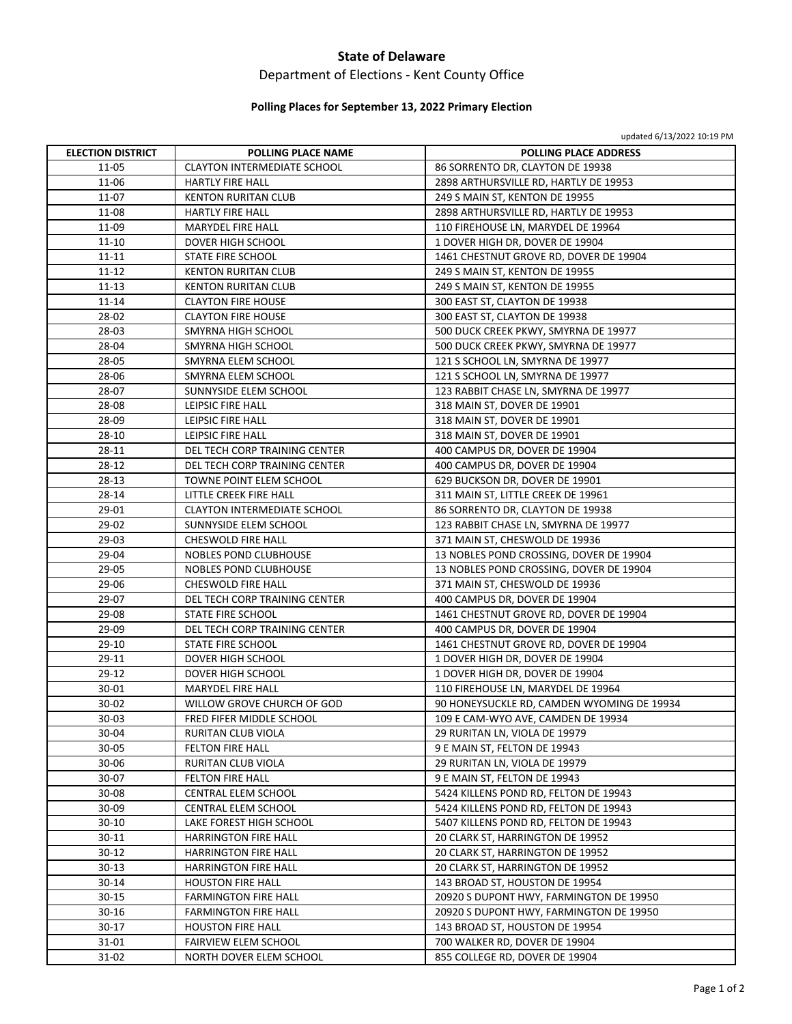### **State of Delaware**

# Department of Elections ‐ Kent County Office

### **Polling Places for September 13, 2022 Primary Election**

|                          |                                    | updated b/13/2022 IO:19 PM                 |
|--------------------------|------------------------------------|--------------------------------------------|
| <b>ELECTION DISTRICT</b> | <b>POLLING PLACE NAME</b>          | <b>POLLING PLACE ADDRESS</b>               |
| 11-05                    | <b>CLAYTON INTERMEDIATE SCHOOL</b> | 86 SORRENTO DR, CLAYTON DE 19938           |
| 11-06                    | <b>HARTLY FIRE HALL</b>            | 2898 ARTHURSVILLE RD, HARTLY DE 19953      |
| 11-07                    | <b>KENTON RURITAN CLUB</b>         | 249 S MAIN ST, KENTON DE 19955             |
| 11-08                    | HARTLY FIRE HALL                   | 2898 ARTHURSVILLE RD, HARTLY DE 19953      |
| 11-09                    | MARYDEL FIRE HALL                  | 110 FIREHOUSE LN, MARYDEL DE 19964         |
| 11-10                    | DOVER HIGH SCHOOL                  | 1 DOVER HIGH DR, DOVER DE 19904            |
| 11-11                    | STATE FIRE SCHOOL                  | 1461 CHESTNUT GROVE RD, DOVER DE 19904     |
| 11-12                    | <b>KENTON RURITAN CLUB</b>         | 249 S MAIN ST, KENTON DE 19955             |
| $11 - 13$                | <b>KENTON RURITAN CLUB</b>         | 249 S MAIN ST, KENTON DE 19955             |
| 11-14                    | <b>CLAYTON FIRE HOUSE</b>          | 300 EAST ST, CLAYTON DE 19938              |
| 28-02                    | <b>CLAYTON FIRE HOUSE</b>          | 300 EAST ST, CLAYTON DE 19938              |
| 28-03                    | SMYRNA HIGH SCHOOL                 | 500 DUCK CREEK PKWY, SMYRNA DE 19977       |
| 28-04                    | SMYRNA HIGH SCHOOL                 | 500 DUCK CREEK PKWY, SMYRNA DE 19977       |
| 28-05                    | SMYRNA ELEM SCHOOL                 | 121 S SCHOOL LN, SMYRNA DE 19977           |
| 28-06                    | SMYRNA ELEM SCHOOL                 | 121 S SCHOOL LN, SMYRNA DE 19977           |
| 28-07                    | SUNNYSIDE ELEM SCHOOL              | 123 RABBIT CHASE LN, SMYRNA DE 19977       |
| 28-08                    | LEIPSIC FIRE HALL                  | 318 MAIN ST, DOVER DE 19901                |
| 28-09                    | LEIPSIC FIRE HALL                  | 318 MAIN ST, DOVER DE 19901                |
| 28-10                    | LEIPSIC FIRE HALL                  | 318 MAIN ST, DOVER DE 19901                |
| 28-11                    | DEL TECH CORP TRAINING CENTER      | 400 CAMPUS DR, DOVER DE 19904              |
| 28-12                    | DEL TECH CORP TRAINING CENTER      | 400 CAMPUS DR, DOVER DE 19904              |
| 28-13                    | TOWNE POINT ELEM SCHOOL            | 629 BUCKSON DR, DOVER DE 19901             |
| 28-14                    | LITTLE CREEK FIRE HALL             | 311 MAIN ST, LITTLE CREEK DE 19961         |
| 29-01                    | <b>CLAYTON INTERMEDIATE SCHOOL</b> | 86 SORRENTO DR, CLAYTON DE 19938           |
| 29-02                    | SUNNYSIDE ELEM SCHOOL              | 123 RABBIT CHASE LN, SMYRNA DE 19977       |
| 29-03                    | CHESWOLD FIRE HALL                 | 371 MAIN ST, CHESWOLD DE 19936             |
| 29-04                    | NOBLES POND CLUBHOUSE              | 13 NOBLES POND CROSSING, DOVER DE 19904    |
| 29-05                    | NOBLES POND CLUBHOUSE              | 13 NOBLES POND CROSSING, DOVER DE 19904    |
| 29-06                    | CHESWOLD FIRE HALL                 | 371 MAIN ST, CHESWOLD DE 19936             |
| 29-07                    | DEL TECH CORP TRAINING CENTER      | 400 CAMPUS DR, DOVER DE 19904              |
| 29-08                    | STATE FIRE SCHOOL                  | 1461 CHESTNUT GROVE RD, DOVER DE 19904     |
| 29-09                    | DEL TECH CORP TRAINING CENTER      | 400 CAMPUS DR, DOVER DE 19904              |
| $29-10$                  | STATE FIRE SCHOOL                  | 1461 CHESTNUT GROVE RD, DOVER DE 19904     |
| 29-11                    | <b>DOVER HIGH SCHOOL</b>           | 1 DOVER HIGH DR, DOVER DE 19904            |
| 29-12                    | <b>DOVER HIGH SCHOOL</b>           | 1 DOVER HIGH DR, DOVER DE 19904            |
| 30-01                    | <b>MARYDEL FIRE HALL</b>           | 110 FIREHOUSE LN, MARYDEL DE 19964         |
| 30-02                    | WILLOW GROVE CHURCH OF GOD         | 90 HONEYSUCKLE RD, CAMDEN WYOMING DE 19934 |
| $30 - 03$                | FRED FIFER MIDDLE SCHOOL           | 109 E CAM-WYO AVE, CAMDEN DE 19934         |
| 30-04                    | RURITAN CLUB VIOLA                 | 29 RURITAN LN, VIOLA DE 19979              |
| $30 - 05$                | <b>FELTON FIRE HALL</b>            | 9 E MAIN ST, FELTON DE 19943               |
| 30-06                    | RURITAN CLUB VIOLA                 | 29 RURITAN LN, VIOLA DE 19979              |
| 30-07                    | <b>FELTON FIRE HALL</b>            | 9 E MAIN ST, FELTON DE 19943               |
| 30-08                    | CENTRAL ELEM SCHOOL                | 5424 KILLENS POND RD, FELTON DE 19943      |
| 30-09                    | CENTRAL ELEM SCHOOL                | 5424 KILLENS POND RD, FELTON DE 19943      |
| $30 - 10$                | LAKE FOREST HIGH SCHOOL            | 5407 KILLENS POND RD, FELTON DE 19943      |
| 30-11                    | <b>HARRINGTON FIRE HALL</b>        | 20 CLARK ST, HARRINGTON DE 19952           |
| $30 - 12$                | HARRINGTON FIRE HALL               | 20 CLARK ST, HARRINGTON DE 19952           |
| 30-13                    | HARRINGTON FIRE HALL               | 20 CLARK ST, HARRINGTON DE 19952           |
| 30-14                    | <b>HOUSTON FIRE HALL</b>           | 143 BROAD ST, HOUSTON DE 19954             |
| $30 - 15$                | <b>FARMINGTON FIRE HALL</b>        | 20920 S DUPONT HWY, FARMINGTON DE 19950    |
| 30-16                    | <b>FARMINGTON FIRE HALL</b>        | 20920 S DUPONT HWY, FARMINGTON DE 19950    |
| $30 - 17$                |                                    |                                            |
|                          | <b>HOUSTON FIRE HALL</b>           | 143 BROAD ST, HOUSTON DE 19954             |
| 31-01                    | FAIRVIEW ELEM SCHOOL               | 700 WALKER RD, DOVER DE 19904              |
| 31-02                    | NORTH DOVER ELEM SCHOOL            | 855 COLLEGE RD, DOVER DE 19904             |